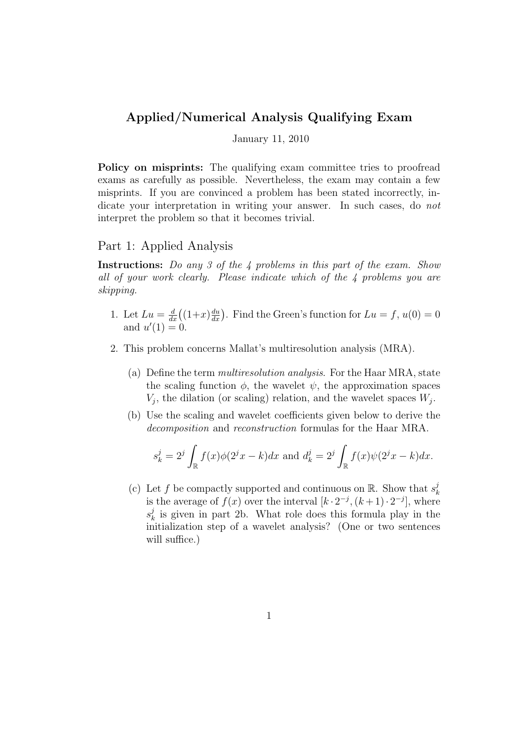## Applied/Numerical Analysis Qualifying Exam

January 11, 2010

Policy on misprints: The qualifying exam committee tries to proofread exams as carefully as possible. Nevertheless, the exam may contain a few misprints. If you are convinced a problem has been stated incorrectly, indicate your interpretation in writing your answer. In such cases, do not interpret the problem so that it becomes trivial.

## Part 1: Applied Analysis

Instructions: Do any 3 of the 4 problems in this part of the exam. Show all of your work clearly. Please indicate which of the 4 problems you are skipping.

- 1. Let  $Lu = \frac{d}{dx}((1+x)\frac{du}{dx})$ . Find the Green's function for  $Lu = f$ ,  $u(0) = 0$ and  $u'(1) = 0$ .
- 2. This problem concerns Mallat's multiresolution analysis (MRA).
	- (a) Define the term multiresolution analysis. For the Haar MRA, state the scaling function  $\phi$ , the wavelet  $\psi$ , the approximation spaces  $V_j$ , the dilation (or scaling) relation, and the wavelet spaces  $W_j$ .
	- (b) Use the scaling and wavelet coefficients given below to derive the decomposition and reconstruction formulas for the Haar MRA.

$$
s_k^j = 2^j \int_{\mathbb{R}} f(x) \phi(2^j x - k) dx
$$
 and  $d_k^j = 2^j \int_{\mathbb{R}} f(x) \psi(2^j x - k) dx$ .

(c) Let f be compactly supported and continuous on R. Show that  $s_k^j$ k is the average of  $f(x)$  over the interval  $[k \cdot 2^{-j}, (k+1) \cdot 2^{-j}]$ , where  $s_k^j$  $\frac{d}{dx}$  is given in part 2b. What role does this formula play in the initialization step of a wavelet analysis? (One or two sentences will suffice.)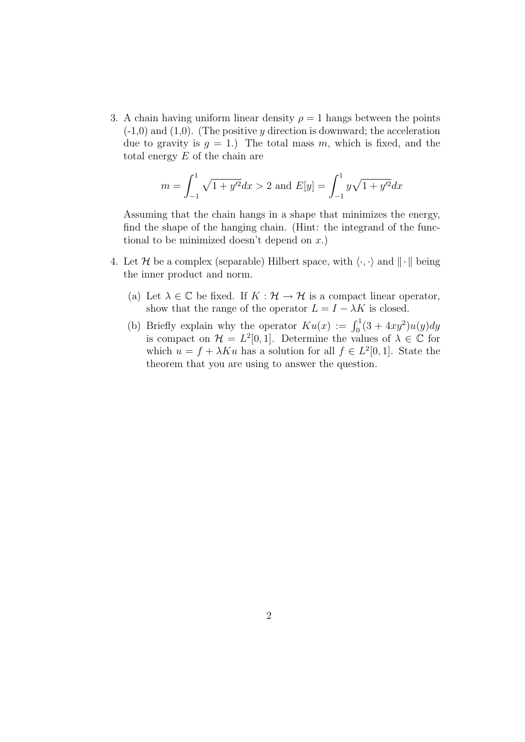3. A chain having uniform linear density  $\rho = 1$  hangs between the points  $(-1,0)$  and  $(1,0)$ . (The positive y direction is downward; the acceleration due to gravity is  $q = 1$ .) The total mass m, which is fixed, and the total energy  $E$  of the chain are

$$
m = \int_{-1}^{1} \sqrt{1 + y'^2} dx > 2 \text{ and } E[y] = \int_{-1}^{1} y \sqrt{1 + y'^2} dx
$$

Assuming that the chain hangs in a shape that minimizes the energy, find the shape of the hanging chain. (Hint: the integrand of the functional to be minimized doesn't depend on  $x$ .)

- 4. Let H be a complex (separable) Hilbert space, with  $\langle \cdot, \cdot \rangle$  and  $\| \cdot \|$  being the inner product and norm.
	- (a) Let  $\lambda \in \mathbb{C}$  be fixed. If  $K : \mathcal{H} \to \mathcal{H}$  is a compact linear operator, show that the range of the operator  $L = I - \lambda K$  is closed.
	- (b) Briefly explain why the operator  $Ku(x) := \int_0^1 (3 + 4xy^2)u(y)dy$ is compact on  $\mathcal{H} = L^2[0,1]$ . Determine the values of  $\lambda \in \mathbb{C}$  for which  $u = f + \lambda K u$  has a solution for all  $f \in L^2[0,1]$ . State the theorem that you are using to answer the question.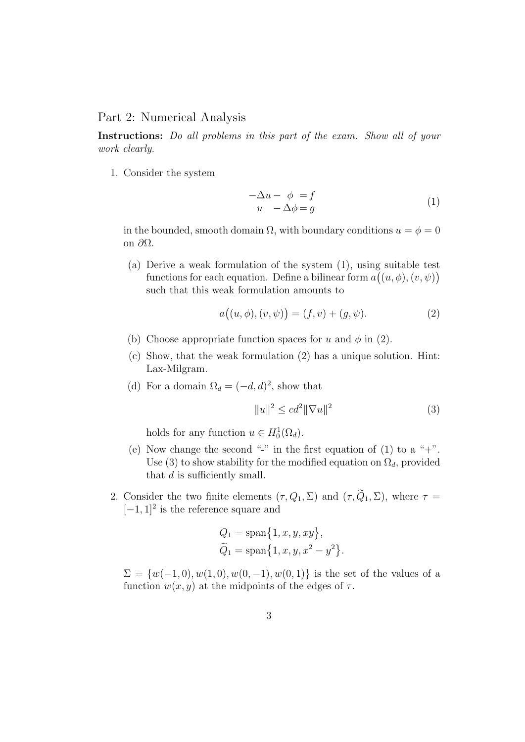## Part 2: Numerical Analysis

Instructions: Do all problems in this part of the exam. Show all of your work clearly.

1. Consider the system

$$
-\Delta u - \phi = f \n u - \Delta \phi = g
$$
\n(1)

in the bounded, smooth domain  $\Omega$ , with boundary conditions  $u = \phi = 0$ on ∂Ω.

(a) Derive a weak formulation of the system (1), using suitable test functions for each equation. Define a bilinear form  $a((u, \phi), (v, \psi))$ such that this weak formulation amounts to

$$
a((u, \phi), (v, \psi)) = (f, v) + (g, \psi).
$$
 (2)

- (b) Choose appropriate function spaces for u and  $\phi$  in (2).
- (c) Show, that the weak formulation (2) has a unique solution. Hint: Lax-Milgram.
- (d) For a domain  $\Omega_d = (-d, d)^2$ , show that

$$
||u||^2 \le cd^2 ||\nabla u||^2 \tag{3}
$$

holds for any function  $u \in H_0^1(\Omega_d)$ .

- (e) Now change the second "-" in the first equation of (1) to a "+". Use (3) to show stability for the modified equation on  $\Omega_d$ , provided that d is sufficiently small.
- 2. Consider the two finite elements  $(\tau, Q_1, \Sigma)$  and  $(\tau, \widetilde{Q}_1, \Sigma)$ , where  $\tau =$  $[-1, 1]^2$  is the reference square and

$$
Q_1 = \text{span}\{1, x, y, xy\},\,
$$
  

$$
\widetilde{Q}_1 = \text{span}\{1, x, y, x^2 - y^2\}.
$$

 $\Sigma = \{w(-1,0), w(1,0), w(0,-1), w(0,1)\}\$ is the set of the values of a function  $w(x, y)$  at the midpoints of the edges of  $\tau$ .